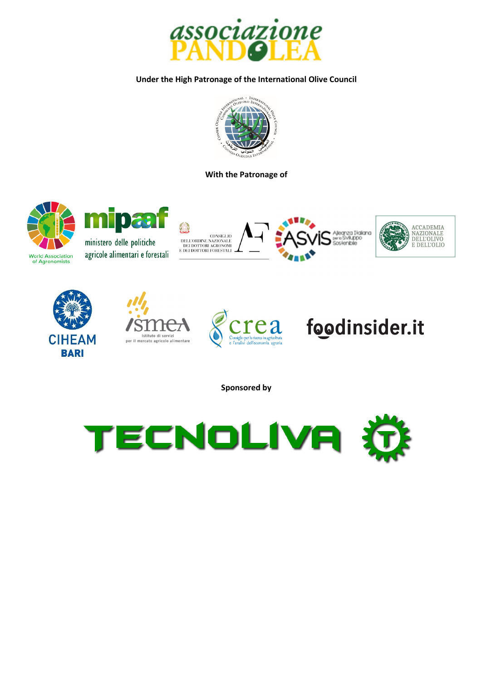

#### **Under the High Patronage of the International Olive Council**



#### **With the Patronage of**





ministero delle politiche agricole alimentari e forestali















**Sponsored by**

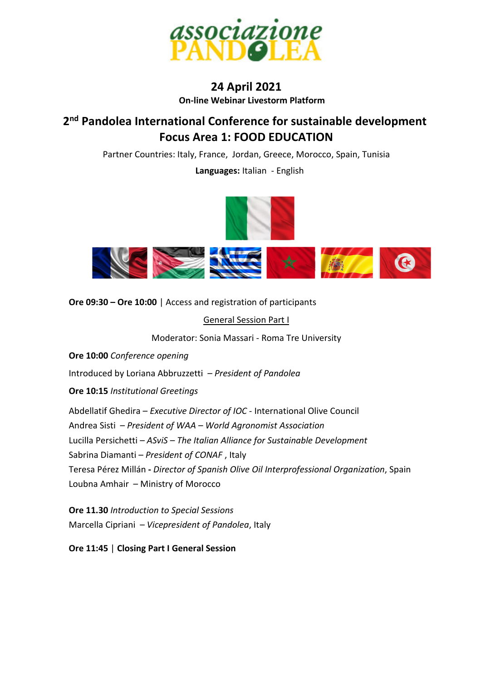

# **24 April 2021 On-line Webinar Livestorm Platform**

# **2 nd Pandolea International Conference for sustainable development Focus Area 1: FOOD EDUCATION**

Partner Countries: Italy, France, Jordan, Greece, Morocco, Spain, Tunisia

 **Languages:** Italian - English



**Ore 09:30 – Ore 10:00** | Access and registration of participants

General Session Part I

Moderator: Sonia Massari - Roma Tre University

**Ore 10:00** *Conference opening*

Introduced by Loriana Abbruzzetti – *President of Pandolea*

**Ore 10:15** *Institutional Greetings* 

Abdellatif Ghedira – *Executive Director of IOC* - International Olive Council Andrea Sisti – *President of WAA – World Agronomist Association*  Lucilla Persichetti – *ASviS – The Italian Alliance for Sustainable Development*  Sabrina Diamanti – *President of CONAF* , Italy Teresa Pérez Millán **-** *Director of Spanish Olive Oil Interprofessional Organization*, Spain Loubna Amhair – Ministry of Morocco

**Ore 11.30** *Introduction to Special Sessions*  Marcella Cipriani – *Vicepresident of Pandolea*, Italy

**Ore 11:45** | **Closing Part I General Session**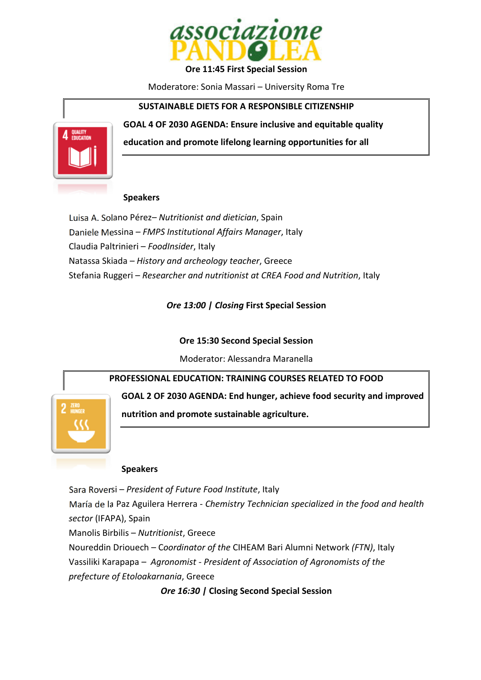

**Ore 11:45 First Special Session** 

Moderatore: Sonia Massari – University Roma Tre

#### **SUSTAINABLE DIETS FOR A RESPONSIBLE CITIZENSHIP**

**QUALITY** 

**education and promote lifelong learning opportunities for all** 

**GOAL 4 OF 2030 AGENDA: Ensure inclusive and equitable quality** 

# **Speakers**

Luisa A. Solano Pérez– *Nutritionist and dietician*, Spain Daniele Messina – *FMPS Institutional Affairs Manager*, Italy Claudia Paltrinieri – *FoodInsider*, Italy Natassa Skiada – *History and archeology teacher*, Greece Stefania Ruggeri – *Researcher and nutritionist at CREA Food and Nutrition*, Italy

*Ore 13:00 | Closing* **First Special Session** 

# **Ore 15:30 Second Special Session**

Moderator: Alessandra Maranella

**PROFESSIONAL EDUCATION: TRAINING COURSES RELATED TO FOOD** 

**GOAL 2 OF 2030 AGENDA: End hunger, achieve food security and improved** 

**nutrition and promote sustainable agriculture.** 

# **Speakers**

Sara Roversi – *President of Future Food Institute*, Italy María de la Paz Aguilera Herrera - *Chemistry Technician specialized in the food and health sector* (IFAPA), Spain

Manolis Birbilis – *Nutritionist*, Greece

Noureddin Driouech – C*oordinator of the* CIHEAM Bari Alumni Network *(FTN)*, Italy Vassiliki Karapapa – *Agronomist - President of Association of Agronomists of the prefecture of Etoloakarnania*, Greece

*Ore 16:30 |* **Closing Second Special Session**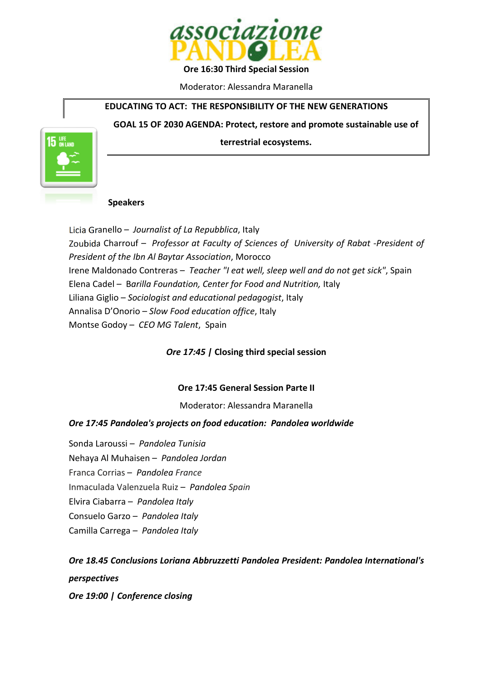

**Ore 16:30 Third Special Session** 

Moderator: Alessandra Maranella

# **EDUCATING TO ACT: THE RESPONSIBILITY OF THE NEW GENERATIONS**

**GOAL 15 OF 2030 AGENDA: Protect, restore and promote sustainable use of** 

**terrestrial ecosystems.** 



#### **Speakers**

Licia Granello – *Journalist of La Repubblica*, Italy Zoubida Charrouf – *Professor at Faculty of Sciences of University of Rabat -President of President of the Ibn Al Baytar Association*, Morocco Irene Maldonado Contreras – *Teacher "I eat well, sleep well and do not get sick"*, Spain Elena Cadel – B*arilla Foundation, Center for Food and Nutrition,* Italy Liliana Giglio – *Sociologist and educational pedagogist*, Italy Annalisa D'Onorio – *Slow Food education office*, Italy Montse Godoy – *CEO MG Talent*, Spain

# *Ore 17:45 |* **Closing third special session**

# **Ore 17:45 General Session Parte II**

#### Moderator: Alessandra Maranella

#### *Ore 17:45 Pandolea's projects on food education: Pandolea worldwide*

Sonda Laroussi – *Pandolea Tunisia*  Nehaya Al Muhaisen – *Pandolea Jordan*  Franca Corrias – *Pandolea France*  Inmaculada Valenzuela Ruiz – *Pandolea Spain*  Elvira Ciabarra – *Pandolea Italy*  Consuelo Garzo – *Pandolea Italy*  Camilla Carrega – *Pandolea Italy* 

# *Ore 18.45 Conclusions Loriana Abbruzzetti Pandolea President: Pandolea International's perspectives*

*Ore 19:00 | Conference closing*